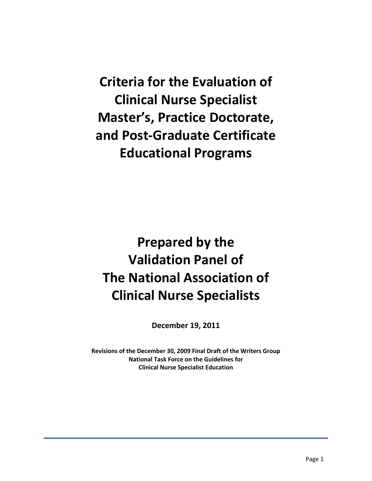**Criteria for the Evaluation of Clinical Nurse Specialist Master's, Practice Doctorate, and Post-Graduate Certificate Educational Programs**

**Prepared by the Validation Panel of The National Association of Clinical Nurse Specialists** 

**December 19, 2011**

**Revisions of the December 30, 2009 Final Draft of the Writers Group National Task Force on the Guidelines for Clinical Nurse Specialist Education**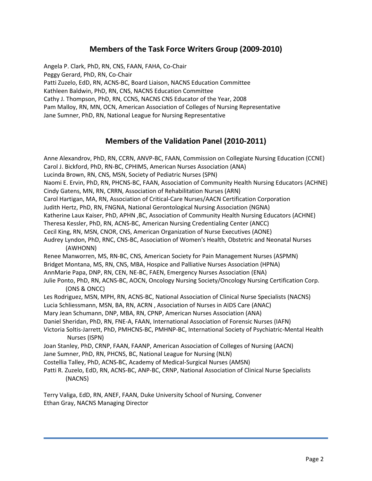# **Members of the Task Force Writers Group (2009-2010)**

Angela P. Clark, PhD, RN, CNS, FAAN, FAHA, Co-Chair Peggy Gerard, PhD, RN, Co-Chair Patti Zuzelo, EdD, RN, ACNS-BC, Board Liaison, NACNS Education Committee Kathleen Baldwin, PhD, RN, CNS, NACNS Education Committee Cathy J. Thompson, PhD, RN, CCNS, NACNS CNS Educator of the Year, 2008 Pam Malloy, RN, MN, OCN, American Association of Colleges of Nursing Representative Jane Sumner, PhD, RN, National League for Nursing Representative

# **Members of the Validation Panel (2010-2011)**

Anne Alexandrov, PhD, RN, CCRN, ANVP-BC, FAAN, Commission on Collegiate Nursing Education (CCNE) Carol J. Bickford, PhD, RN-BC, CPHIMS, American Nurses Association (ANA) Lucinda Brown, RN, CNS, MSN, Society of Pediatric Nurses (SPN) Naomi E. Ervin, PhD, RN, PHCNS-BC, FAAN, Association of Community Health Nursing Educators (ACHNE) Cindy Gatens, MN, RN, CRRN, Association of Rehabilitation Nurses (ARN) Carol Hartigan, MA, RN, Association of Critical-Care Nurses/AACN Certification Corporation Judith Hertz, PhD, RN, FNGNA, National Gerontological Nursing Association (NGNA) Katherine Laux Kaiser, PhD, APHN ,BC, Association of Community Health Nursing Educators (ACHNE) Theresa Kessler, PhD, RN, ACNS-BC, American Nursing Credentialing Center (ANCC) Cecil King, RN, MSN, CNOR, CNS, American Organization of Nurse Executives (AONE) Audrey Lyndon, PhD, RNC, CNS-BC, Association of Women's Health, Obstetric and Neonatal Nurses (AWHONN) Renee Manworren, MS, RN-BC, CNS, American Society for Pain Management Nurses (ASPMN) Bridget Montana, MS, RN, CNS, MBA, Hospice and Palliative Nurses Association (HPNA) AnnMarie Papa, DNP, RN, CEN, NE-BC, FAEN, Emergency Nurses Association (ENA) Julie Ponto, PhD, RN, ACNS-BC, AOCN, Oncology Nursing Society/Oncology Nursing Certification Corp. (ONS & ONCC) Les Rodriguez, MSN, MPH, RN, ACNS-BC, National Association of Clinical Nurse Specialists (NACNS) Lucia Schliessmann, MSN, BA, RN, ACRN , Association of Nurses in AIDS Care (ANAC) Mary Jean Schumann, DNP, MBA, RN, CPNP, American Nurses Association (ANA) Daniel Sheridan, PhD, RN, FNE-A, FAAN, International Association of Forensic Nurses (IAFN) Victoria Soltis-Jarrett, PhD, PMHCNS-BC, PMHNP-BC, International Society of Psychiatric-Mental Health Nurses (ISPN) Joan Stanley, PhD, CRNP, FAAN, FAANP, American Association of Colleges of Nursing (AACN) Jane Sumner, PhD, RN, PHCNS, BC, National League for Nursing (NLN) Costellia Talley, PhD, ACNS-BC, Academy of Medical-Surgical Nurses (AMSN) Patti R. Zuzelo, EdD, RN, ACNS-BC, ANP-BC, CRNP, National Association of Clinical Nurse Specialists (NACNS)

Terry Valiga, EdD, RN, ANEF, FAAN, Duke University School of Nursing, Convener Ethan Gray, NACNS Managing Director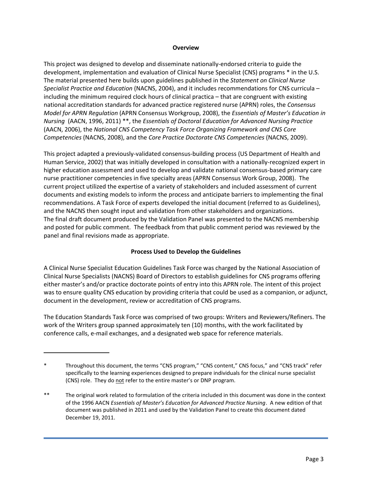#### **Overview**

This project was designed to develop and disseminate nationally-endorsed criteria to guide the development, implementation and evaluation of Clinical Nurse Specialist (CNS) programs \* in the U.S. The material presented here builds upon guidelines published in the *Statement on Clinical Nurse Specialist Practice and Education* (NACNS, 2004), and it includes recommendations for CNS curricula – including the minimum required clock hours of clinical practica – that are congruent with existing national accreditation standards for advanced practice registered nurse (APRN) roles, the *Consensus Model for APRN Regulation* (APRN Consensus Workgroup, 2008), the *Essentials of Master's Education in Nursing* (AACN, 1996, 2011) \*\*, the *Essentials of Doctoral Education for Advanced Nursing Practice* (AACN, 2006), the *National CNS Competency Task Force Organizing Framework and CNS Core Competencies* (NACNS, 2008), and the *Core Practice Doctorate CNS Competencies* (NACNS, 2009).

This project adapted a previously-validated consensus-building process (US Department of Health and Human Service, 2002) that was initially developed in consultation with a nationally-recognized expert in higher education assessment and used to develop and validate national consensus-based primary care nurse practitioner competencies in five specialty areas (APRN Consensus Work Group, 2008). The current project utilized the expertise of a variety of stakeholders and included assessment of current documents and existing models to inform the process and anticipate barriers to implementing the final recommendations. A Task Force of experts developed the initial document (referred to as Guidelines), and the NACNS then sought input and validation from other stakeholders and organizations. The final draft document produced by the Validation Panel was presented to the NACNS membership and posted for public comment. The feedback from that public comment period was reviewed by the panel and final revisions made as appropriate.

# **Process Used to Develop the Guidelines**

A Clinical Nurse Specialist Education Guidelines Task Force was charged by the National Association of Clinical Nurse Specialists (NACNS) Board of Directors to establish guidelines for CNS programs offering either master's and/or practice doctorate points of entry into this APRN role. The intent of this project was to ensure quality CNS education by providing criteria that could be used as a companion, or adjunct, document in the development, review or accreditation of CNS programs.

The Education Standards Task Force was comprised of two groups: Writers and Reviewers/Refiners. The work of the Writers group spanned approximately ten (10) months, with the work facilitated by conference calls, e-mail exchanges, and a designated web space for reference materials.

Throughout this document, the terms "CNS program," "CNS content," CNS focus," and "CNS track" refer specifically to the learning experiences designed to prepare individuals for the clinical nurse specialist (CNS) role. They do not refer to the entire master's or DNP program.

<sup>\*\*</sup> The original work related to formulation of the criteria included in this document was done in the context of the 1996 AACN *Essentials of Master's Education for Advanced Practice Nursing*. A new edition of that document was published in 2011 and used by the Validation Panel to create this document dated December 19, 2011.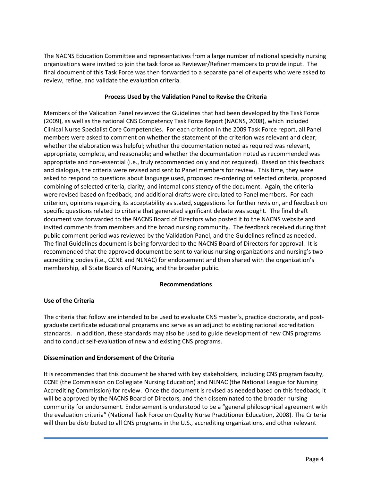The NACNS Education Committee and representatives from a large number of national specialty nursing organizations were invited to join the task force as Reviewer/Refiner members to provide input. The final document of this Task Force was then forwarded to a separate panel of experts who were asked to review, refine, and validate the evaluation criteria.

# **Process Used by the Validation Panel to Revise the Criteria**

Members of the Validation Panel reviewed the Guidelines that had been developed by the Task Force (2009), as well as the national CNS Competency Task Force Report (NACNS, 2008), which included Clinical Nurse Specialist Core Competencies. For each criterion in the 2009 Task Force report, all Panel members were asked to comment on whether the statement of the criterion was relevant and clear; whether the elaboration was helpful; whether the documentation noted as required was relevant, appropriate, complete, and reasonable; and whether the documentation noted as recommended was appropriate and non-essential (i.e., truly recommended only and not required). Based on this feedback and dialogue, the criteria were revised and sent to Panel members for review. This time, they were asked to respond to questions about language used, proposed re-ordering of selected criteria, proposed combining of selected criteria, clarity, and internal consistency of the document. Again, the criteria were revised based on feedback, and additional drafts were circulated to Panel members. For each criterion, opinions regarding its acceptability as stated, suggestions for further revision, and feedback on specific questions related to criteria that generated significant debate was sought. The final draft document was forwarded to the NACNS Board of Directors who posted it to the NACNS website and invited comments from members and the broad nursing community. The feedback received during that public comment period was reviewed by the Validation Panel, and the Guidelines refined as needed. The final Guidelines document is being forwarded to the NACNS Board of Directors for approval. It is recommended that the approved document be sent to various nursing organizations and nursing's two accrediting bodies (i.e., CCNE and NLNAC) for endorsement and then shared with the organization's membership, all State Boards of Nursing, and the broader public.

# **Recommendations**

# **Use of the Criteria**

The criteria that follow are intended to be used to evaluate CNS master's, practice doctorate, and postgraduate certificate educational programs and serve as an adjunct to existing national accreditation standards. In addition, these standards may also be used to guide development of new CNS programs and to conduct self-evaluation of new and existing CNS programs.

# **Dissemination and Endorsement of the Criteria**

It is recommended that this document be shared with key stakeholders, including CNS program faculty, CCNE (the Commission on Collegiate Nursing Education) and NLNAC (the National League for Nursing Accrediting Commission) for review. Once the document is revised as needed based on this feedback, it will be approved by the NACNS Board of Directors, and then disseminated to the broader nursing community for endorsement. Endorsement is understood to be a "general philosophical agreement with the evaluation criteria" (National Task Force on Quality Nurse Practitioner Education, 2008). The Criteria will then be distributed to all CNS programs in the U.S., accrediting organizations, and other relevant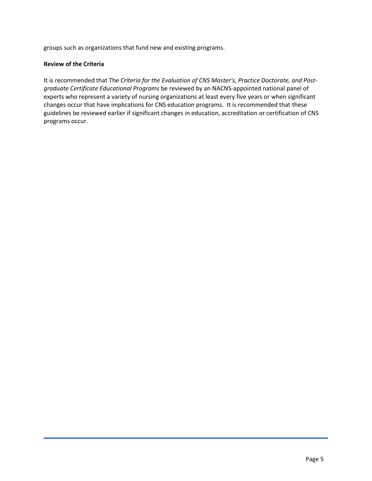groups such as organizations that fund new and existing programs.

#### **Review of the Criteria**

It is recommended that The *Criteria for the Evaluation of CNS Master's, Practice Doctorate, and Postgraduate Certificate Educational Programs* be reviewed by an NACNS-appointed national panel of experts who represent a variety of nursing organizations at least every five years or when significant changes occur that have implications for CNS education programs. It is recommended that these guidelines be reviewed earlier if significant changes in education, accreditation or certification of CNS programs occur.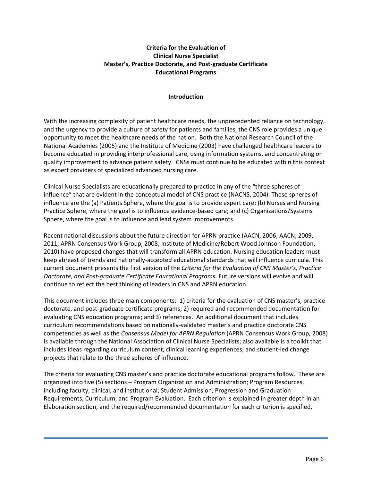# **Criteria for the Evaluation of Clinical Nurse Specialist Master's, Practice Doctorate, and Post-graduate Certificate Educational Programs**

# **Introduction**

With the increasing complexity of patient healthcare needs, the unprecedented reliance on technology, and the urgency to provide a culture of safety for patients and families, the CNS role provides a unique opportunity to meet the healthcare needs of the nation. Both the National Research Council of the National Academies (2005) and the Institute of Medicine (2003) have challenged healthcare leaders to become educated in providing interprofessional care, using information systems, and concentrating on quality improvement to advance patient safety. CNSs must continue to be educated within this context as expert providers of specialized advanced nursing care.

Clinical Nurse Specialists are educationally prepared to practice in any of the "three spheres of influence" that are evident in the conceptual model of CNS practice (NACNS, 2004). These spheres of influence are the (a) Patients Sphere, where the goal is to provide expert care; (b) Nurses and Nursing Practice Sphere, where the goal is to influence evidence-based care; and (c) Organizations/Systems Sphere, where the goal is to influence and lead system improvements.

Recent national discussions about the future direction for APRN practice (AACN, 2006; AACN, 2009, 2011; APRN Consensus Work Group, 2008; Institute of Medicine/Robert Wood Johnson Foundation, 2010) have proposed changes that will transform all APRN education. Nursing education leaders must keep abreast of trends and nationally-accepted educational standards that will influence curricula. This current document presents the first version of the *Criteria for the Evaluation of CNS Master's, Practice Doctorate, and Post-graduate Certificate Educational Programs*. Future versions will evolve and will continue to reflect the best thinking of leaders in CNS and APRN education.

This document includes three main components: 1) criteria for the evaluation of CNS master's, practice doctorate, and post-graduate certificate programs; 2) required and recommended documentation for evaluating CNS education programs; and 3) references. An additional document that includes curriculum recommendations based on nationally-validated master's and practice doctorate CNS competencies as well as the *Consensus Model for APRN Regulation* (APRN Consensus Work Group, 2008) is available through the National Association of Clinical Nurse Specialists; also available is a toolkit that includes ideas regarding curriculum content, clinical learning experiences, and student-led change projects that relate to the three spheres of influence.

The criteria for evaluating CNS master's and practice doctorate educational programs follow. These are organized into five (5) sections – Program Organization and Administration; Program Resources, including faculty, clinical, and institutional; Student Admission, Progression and Graduation Requirements; Curriculum; and Program Evaluation. Each criterion is explained in greater depth in an Elaboration section, and the required/recommended documentation for each criterion is specified.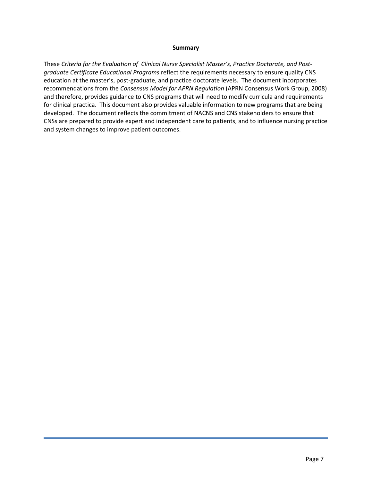#### **Summary**

These *Criteria for the Evaluation of Clinical Nurse Specialist Master's, Practice Doctorate, and Postgraduate Certificate Educational Programs* reflect the requirements necessary to ensure quality CNS education at the master's, post-graduate, and practice doctorate levels. The document incorporates recommendations from the *Consensus Model for APRN Regulation* (APRN Consensus Work Group, 2008) and therefore, provides guidance to CNS programs that will need to modify curricula and requirements for clinical practica. This document also provides valuable information to new programs that are being developed. The document reflects the commitment of NACNS and CNS stakeholders to ensure that CNSs are prepared to provide expert and independent care to patients, and to influence nursing practice and system changes to improve patient outcomes.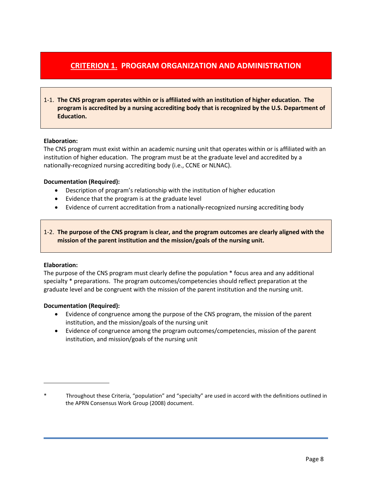# **CRITERION 1. PROGRAM ORGANIZATION AND ADMINISTRATION**

1-1. **The CNS program operates within or is affiliated with an institution of higher education. The program is accredited by a nursing accrediting body that is recognized by the U.S. Department of Education.**

#### **Elaboration:**

The CNS program must exist within an academic nursing unit that operates within or is affiliated with an institution of higher education. The program must be at the graduate level and accredited by a nationally-recognized nursing accrediting body (i.e., CCNE or NLNAC).

#### **Documentation (Required):**

- Description of program's relationship with the institution of higher education
- Evidence that the program is at the graduate level
- Evidence of current accreditation from a nationally-recognized nursing accrediting body

1-2. **The purpose of the CNS program is clear, and the program outcomes are clearly aligned with the mission of the parent institution and the mission/goals of the nursing unit.** 

#### **Elaboration:**

The purpose of the CNS program must clearly define the population \* focus area and any additional specialty \* preparations. The program outcomes/competencies should reflect preparation at the graduate level and be congruent with the mission of the parent institution and the nursing unit.

- Evidence of congruence among the purpose of the CNS program, the mission of the parent institution, and the mission/goals of the nursing unit
- Evidence of congruence among the program outcomes/competencies, mission of the parent institution, and mission/goals of the nursing unit

Throughout these Criteria, "population" and "specialty" are used in accord with the definitions outlined in the APRN Consensus Work Group (2008) document.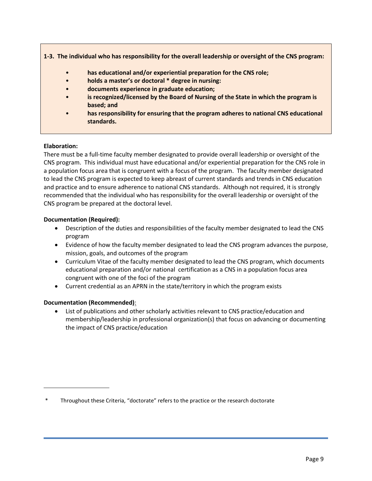# **1-3. The individual who has responsibility for the overall leadership or oversight of the CNS program:**

- **has educational and/or experiential preparation for the CNS role;**
- **holds a master's or doctoral \* degree in nursing:**
- **documents experience in graduate education;**
- **is recognized/licensed by the Board of Nursing of the State in which the program is based; and**
- **has responsibility for ensuring that the program adheres to national CNS educational standards.**

# **Elaboration:**

There must be a full-time faculty member designated to provide overall leadership or oversight of the CNS program. This individual must have educational and/or experiential preparation for the CNS role in a population focus area that is congruent with a focus of the program. The faculty member designated to lead the CNS program is expected to keep abreast of current standards and trends in CNS education and practice and to ensure adherence to national CNS standards. Although not required, it is strongly recommended that the individual who has responsibility for the overall leadership or oversight of the CNS program be prepared at the doctoral level.

# **Documentation (Required):**

- Description of the duties and responsibilities of the faculty member designated to lead the CNS program
- Evidence of how the faculty member designated to lead the CNS program advances the purpose, mission, goals, and outcomes of the program
- Curriculum Vitae of the faculty member designated to lead the CNS program, which documents educational preparation and/or national certification as a CNS in a population focus area congruent with one of the foci of the program
- Current credential as an APRN in the state/territory in which the program exists

# **Documentation (Recommended)**:

 List of publications and other scholarly activities relevant to CNS practice/education and membership/leadership in professional organization(s) that focus on advancing or documenting the impact of CNS practice/education

Throughout these Criteria, "doctorate" refers to the practice or the research doctorate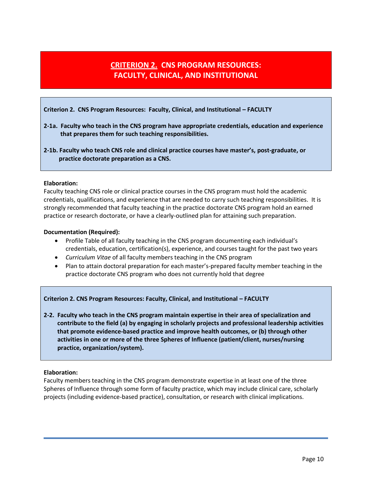# **CRITERION 2. CNS PROGRAM RESOURCES: FACULTY, CLINICAL, AND INSTITUTIONAL**

**Criterion 2. CNS Program Resources: Faculty, Clinical, and Institutional – FACULTY**

- **2-1a. Faculty who teach in the CNS program have appropriate credentials, education and experience that prepares them for such teaching responsibilities.**
- **2-1b. Faculty who teach CNS role and clinical practice courses have master's, post-graduate, or practice doctorate preparation as a CNS.**

# **Elaboration:**

Faculty teaching CNS role or clinical practice courses in the CNS program must hold the academic credentials, qualifications, and experience that are needed to carry such teaching responsibilities. It is strongly recommended that faculty teaching in the practice doctorate CNS program hold an earned practice or research doctorate, or have a clearly-outlined plan for attaining such preparation.

#### **Documentation (Required):**

- Profile Table of all faculty teaching in the CNS program documenting each individual's credentials, education, certification(s), experience, and courses taught for the past two years
- *Curriculum Vitae* of all faculty members teaching in the CNS program
- Plan to attain doctoral preparation for each master's-prepared faculty member teaching in the practice doctorate CNS program who does not currently hold that degree

**Criterion 2. CNS Program Resources: Faculty, Clinical, and Institutional – FACULTY**

**2-2. Faculty who teach in the CNS program maintain expertise in their area of specialization and contribute to the field (a) by engaging in scholarly projects and professional leadership activities that promote evidence-based practice and improve health outcomes, or (b) through other activities in one or more of the three Spheres of Influence (patient/client, nurses/nursing practice, organization/system).**

# **Elaboration:**

Faculty members teaching in the CNS program demonstrate expertise in at least one of the three Spheres of Influence through some form of faculty practice, which may include clinical care, scholarly projects (including evidence-based practice), consultation, or research with clinical implications.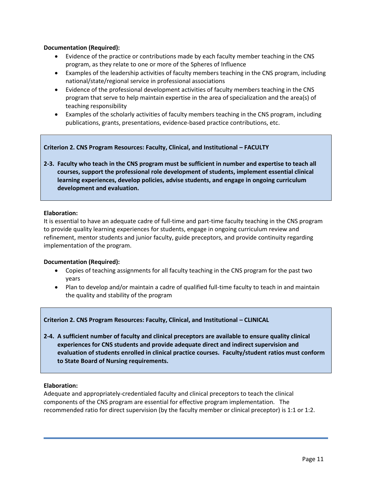# **Documentation (Required):**

- Evidence of the practice or contributions made by each faculty member teaching in the CNS program, as they relate to one or more of the Spheres of Influence
- Examples of the leadership activities of faculty members teaching in the CNS program, including national/state/regional service in professional associations
- Evidence of the professional development activities of faculty members teaching in the CNS program that serve to help maintain expertise in the area of specialization and the area(s) of teaching responsibility
- Examples of the scholarly activities of faculty members teaching in the CNS program, including publications, grants, presentations, evidence-based practice contributions, etc.

# **Criterion 2. CNS Program Resources: Faculty, Clinical, and Institutional – FACULTY**

**2-3. Faculty who teach in the CNS program must be sufficient in number and expertise to teach all courses, support the professional role development of students, implement essential clinical learning experiences, develop policies, advise students, and engage in ongoing curriculum development and evaluation.**

#### **Elaboration:**

It is essential to have an adequate cadre of full-time and part-time faculty teaching in the CNS program to provide quality learning experiences for students, engage in ongoing curriculum review and refinement, mentor students and junior faculty, guide preceptors, and provide continuity regarding implementation of the program.

# **Documentation (Required):**

- Copies of teaching assignments for all faculty teaching in the CNS program for the past two years
- Plan to develop and/or maintain a cadre of qualified full-time faculty to teach in and maintain the quality and stability of the program

# **Criterion 2. CNS Program Resources: Faculty, Clinical, and Institutional – CLINICAL**

**2-4. A sufficient number of faculty and clinical preceptors are available to ensure quality clinical experiences for CNS students and provide adequate direct and indirect supervision and evaluation of students enrolled in clinical practice courses. Faculty/student ratios must conform to State Board of Nursing requirements.** 

#### **Elaboration:**

Adequate and appropriately-credentialed faculty and clinical preceptors to teach the clinical components of the CNS program are essential for effective program implementation. The recommended ratio for direct supervision (by the faculty member or clinical preceptor) is 1:1 or 1:2.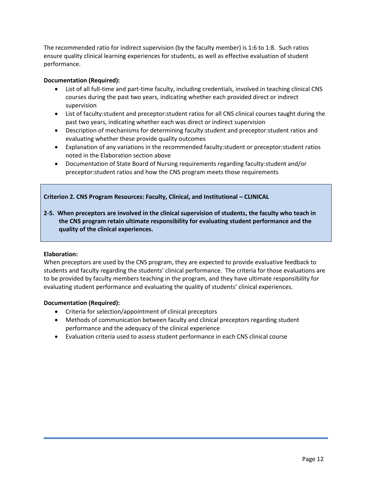The recommended ratio for indirect supervision (by the faculty member) is 1:6 to 1:8. Such ratios ensure quality clinical learning experiences for students, as well as effective evaluation of student performance.

# **Documentation (Required):**

- List of all full-time and part-time faculty, including credentials, involved in teaching clinical CNS courses during the past two years, indicating whether each provided direct or indirect supervision
- List of faculty:student and preceptor:student ratios for all CNS clinical courses taught during the past two years, indicating whether each was direct or indirect supervision
- Description of mechanisms for determining faculty:student and preceptor:student ratios and evaluating whether these provide quality outcomes
- Explanation of any variations in the recommended faculty:student or preceptor:student ratios noted in the Elaboration section above
- Documentation of State Board of Nursing requirements regarding faculty:student and/or preceptor:student ratios and how the CNS program meets those requirements

# **Criterion 2. CNS Program Resources: Faculty, Clinical, and Institutional – CLINICAL**

**2-5. When preceptors are involved in the clinical supervision of students, the faculty who teach in the CNS program retain ultimate responsibility for evaluating student performance and the quality of the clinical experiences.**

# **Elaboration:**

When preceptors are used by the CNS program, they are expected to provide evaluative feedback to students and faculty regarding the students' clinical performance. The criteria for those evaluations are to be provided by faculty members teaching in the program, and they have ultimate responsibility for evaluating student performance and evaluating the quality of students' clinical experiences.

- Criteria for selection/appointment of clinical preceptors
- Methods of communication between faculty and clinical preceptors regarding student performance and the adequacy of the clinical experience
- Evaluation criteria used to assess student performance in each CNS clinical course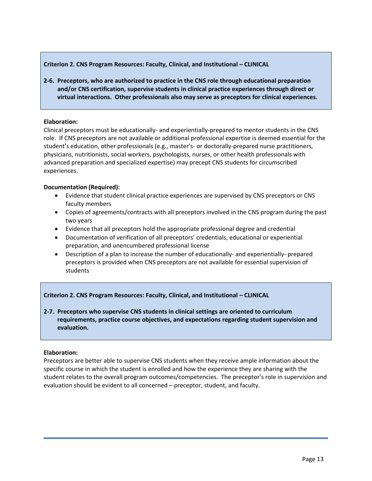# **Criterion 2. CNS Program Resources: Faculty, Clinical, and Institutional – CLINICAL**

**2-6. Preceptors, who are authorized to practice in the CNS role through educational preparation and/or CNS certification, supervise students in clinical practice experiences through direct or virtual interactions. Other professionals also may serve as preceptors for clinical experiences.**

# **Elaboration:**

Clinical preceptors must be educationally- and experientially-prepared to mentor students in the CNS role. If CNS preceptors are not available or additional professional expertise is deemed essential for the student's education, other professionals (e.g., master's- or doctorally-prepared nurse practitioners, physicians, nutritionists, social workers, psychologists, nurses, or other health professionals with advanced preparation and specialized expertise) may precept CNS students for circumscribed experiences.

# **Documentation (Required):**

- Evidence that student clinical practice experiences are supervised by CNS preceptors or CNS faculty members
- Copies of agreements/contracts with all preceptors involved in the CNS program during the past two years
- Evidence that all preceptors hold the appropriate professional degree and credential
- Documentation of verification of all preceptors' credentials, educational or experiential preparation, and unencumbered professional license
- Description of a plan to increase the number of educationally- and experientially- prepared preceptors is provided when CNS preceptors are not available for essential supervision of students

# **Criterion 2. CNS Program Resources: Faculty, Clinical, and Institutional – CLINICAL**

**2-7. Preceptors who supervise CNS students in clinical settings are oriented to curriculum requirements, practice course objectives, and expectations regarding student supervision and evaluation.** 

# **Elaboration:**

Preceptors are better able to supervise CNS students when they receive ample information about the specific course in which the student is enrolled and how the experience they are sharing with the student relates to the overall program outcomes/competencies. The preceptor's role in supervision and evaluation should be evident to all concerned – preceptor, student, and faculty.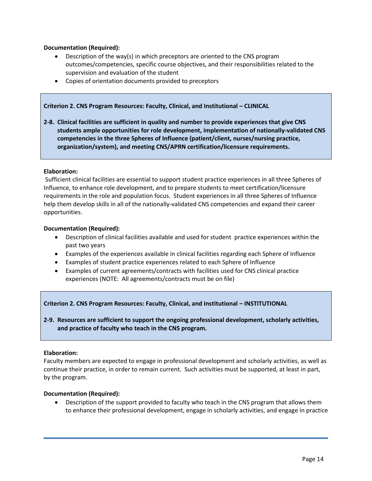# **Documentation (Required):**

- Description of the way(s) in which preceptors are oriented to the CNS program outcomes/competencies, specific course objectives, and their responsibilities related to the supervision and evaluation of the student
- Copies of orientation documents provided to preceptors

#### **Criterion 2. CNS Program Resources: Faculty, Clinical, and Institutional – CLINICAL**

**2-8. Clinical facilities are sufficient in quality and number to provide experiences that give CNS students ample opportunities for role development, implementation of nationally-validated CNS competencies in the three Spheres of Influence (patient/client, nurses/nursing practice, organization/system), and meeting CNS/APRN certification/licensure requirements.**

#### **Elaboration:**

Sufficient clinical facilities are essential to support student practice experiences in all three Spheres of Influence, to enhance role development, and to prepare students to meet certification/licensure requirements in the role and population focus. Student experiences in all three Spheres of Influence help them develop skills in all of the nationally-validated CNS competencies and expand their career opportunities.

#### **Documentation (Required):**

- Description of clinical facilities available and used for student practice experiences within the past two years
- Examples of the experiences available in clinical facilities regarding each Sphere of Influence
- Examples of student practice experiences related to each Sphere of Influence
- Examples of current agreements/contracts with facilities used for CNS clinical practice experiences (NOTE: All agreements/contracts must be on file)

#### **Criterion 2. CNS Program Resources: Faculty, Clinical, and Institutional – INSTITUTIONAL**

**2-9. Resources are sufficient to support the ongoing professional development, scholarly activities, and practice of faculty who teach in the CNS program.** 

#### **Elaboration:**

Faculty members are expected to engage in professional development and scholarly activities, as well as continue their practice, in order to remain current. Such activities must be supported, at least in part, by the program.

#### **Documentation (Required):**

 Description of the support provided to faculty who teach in the CNS program that allows them to enhance their professional development, engage in scholarly activities, and engage in practice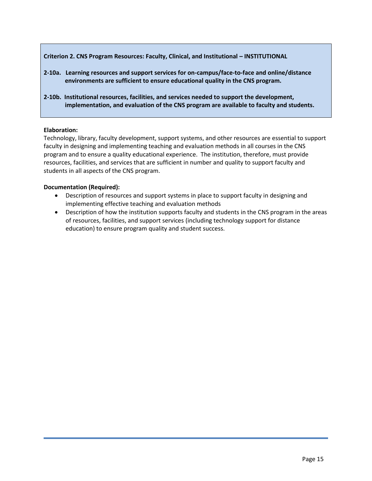**Criterion 2. CNS Program Resources: Faculty, Clinical, and Institutional – INSTITUTIONAL**

- **2-10a. Learning resources and support services for on-campus/face-to-face and online/distance environments are sufficient to ensure educational quality in the CNS program.**
- **2-10b. Institutional resources, facilities, and services needed to support the development, implementation, and evaluation of the CNS program are available to faculty and students.**

# **Elaboration:**

Technology, library, faculty development, support systems, and other resources are essential to support faculty in designing and implementing teaching and evaluation methods in all courses in the CNS program and to ensure a quality educational experience. The institution, therefore, must provide resources, facilities, and services that are sufficient in number and quality to support faculty and students in all aspects of the CNS program.

- Description of resources and support systems in place to support faculty in designing and implementing effective teaching and evaluation methods
- Description of how the institution supports faculty and students in the CNS program in the areas of resources, facilities, and support services (including technology support for distance education) to ensure program quality and student success.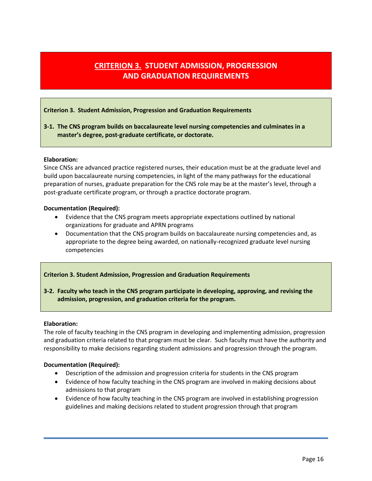# **CRITERION 3. STUDENT ADMISSION, PROGRESSION AND GRADUATION REQUIREMENTS**

**Criterion 3. Student Admission, Progression and Graduation Requirements**

# **3-1. The CNS program builds on baccalaureate level nursing competencies and culminates in a master's degree, post-graduate certificate, or doctorate.**

#### **Elaboration:**

Since CNSs are advanced practice registered nurses, their education must be at the graduate level and build upon baccalaureate nursing competencies, in light of the many pathways for the educational preparation of nurses, graduate preparation for the CNS role may be at the master's level, through a post-graduate certificate program, or through a practice doctorate program.

#### **Documentation (Required):**

- Evidence that the CNS program meets appropriate expectations outlined by national organizations for graduate and APRN programs
- Documentation that the CNS program builds on baccalaureate nursing competencies and, as appropriate to the degree being awarded, on nationally-recognized graduate level nursing competencies

# **Criterion 3. Student Admission, Progression and Graduation Requirements**

# **3-2. Faculty who teach in the CNS program participate in developing, approving, and revising the admission, progression, and graduation criteria for the program.**

# **Elaboration:**

The role of faculty teaching in the CNS program in developing and implementing admission, progression and graduation criteria related to that program must be clear. Such faculty must have the authority and responsibility to make decisions regarding student admissions and progression through the program.

- Description of the admission and progression criteria for students in the CNS program
- Evidence of how faculty teaching in the CNS program are involved in making decisions about admissions to that program
- Evidence of how faculty teaching in the CNS program are involved in establishing progression guidelines and making decisions related to student progression through that program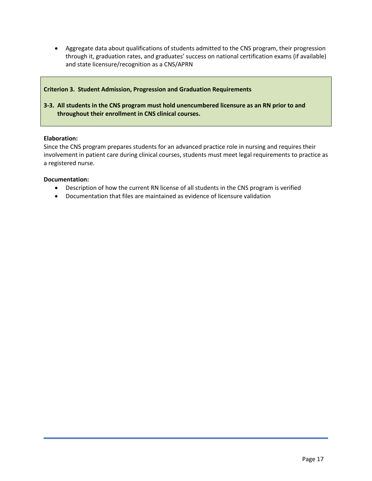Aggregate data about qualifications of students admitted to the CNS program, their progression through it, graduation rates, and graduates' success on national certification exams (if available) and state licensure/recognition as a CNS/APRN

### **Criterion 3. Student Admission, Progression and Graduation Requirements**

**3-3. All students in the CNS program must hold unencumbered licensure as an RN prior to and throughout their enrollment in CNS clinical courses.**

#### **Elaboration:**

Since the CNS program prepares students for an advanced practice role in nursing and requires their involvement in patient care during clinical courses, students must meet legal requirements to practice as a registered nurse.

#### **Documentation:**

- Description of how the current RN license of all students in the CNS program is verified
- Documentation that files are maintained as evidence of licensure validation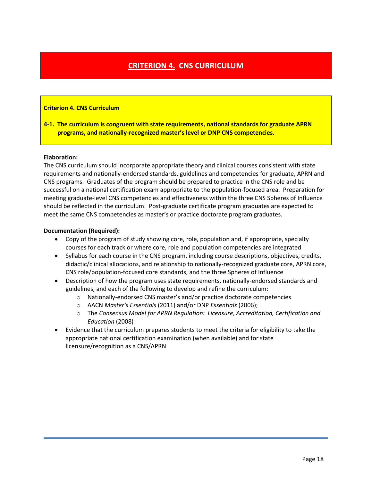# **CRITERION 4. CNS CURRICULUM**

#### **Criterion 4. CNS Curriculum**

**4-1. The curriculum is congruent with state requirements, national standards for graduate APRN programs, and nationally-recognized master's level or DNP CNS competencies.**

#### **Elaboration:**

The CNS curriculum should incorporate appropriate theory and clinical courses consistent with state requirements and nationally-endorsed standards, guidelines and competencies for graduate, APRN and CNS programs. Graduates of the program should be prepared to practice in the CNS role and be successful on a national certification exam appropriate to the population-focused area. Preparation for meeting graduate-level CNS competencies and effectiveness within the three CNS Spheres of Influence should be reflected in the curriculum. Post-graduate certificate program graduates are expected to meet the same CNS competencies as master's or practice doctorate program graduates.

- Copy of the program of study showing core, role, population and, if appropriate, specialty courses for each track or where core, role and population competencies are integrated
- Syllabus for each course in the CNS program, including course descriptions, objectives, credits, didactic/clinical allocations, and relationship to nationally-recognized graduate core, APRN core, CNS role/population-focused core standards, and the three Spheres of Influence
- Description of how the program uses state requirements, nationally-endorsed standards and guidelines, and each of the following to develop and refine the curriculum:
	- o Nationally-endorsed CNS master's and/or practice doctorate competencies
	- o AACN *Master's Essentials* (2011) and/or DNP *Essentials* (2006);
	- o The *Consensus Model for APRN Regulation: Licensure, Accreditation, Certification and Education* (2008)
- Evidence that the curriculum prepares students to meet the criteria for eligibility to take the appropriate national certification examination (when available) and for state licensure/recognition as a CNS/APRN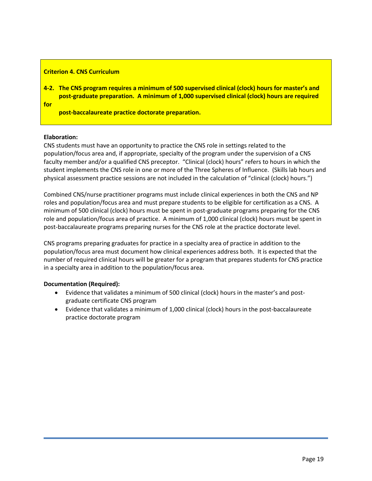| <b>Criterion 4. CNS Curriculum</b> |
|------------------------------------|
|------------------------------------|

**4-2. The CNS program requires a minimum of 500 supervised clinical (clock) hours for master's and post-graduate preparation. A minimum of 1,000 supervised clinical (clock) hours are required** 

**for** 

 **post-baccalaureate practice doctorate preparation.**

#### **Elaboration:**

CNS students must have an opportunity to practice the CNS role in settings related to the population/focus area and, if appropriate, specialty of the program under the supervision of a CNS faculty member and/or a qualified CNS preceptor. "Clinical (clock) hours" refers to hours in which the student implements the CNS role in one or more of the Three Spheres of Influence. (Skills lab hours and physical assessment practice sessions are not included in the calculation of "clinical (clock) hours.")

Combined CNS/nurse practitioner programs must include clinical experiences in both the CNS and NP roles and population/focus area and must prepare students to be eligible for certification as a CNS. A minimum of 500 clinical (clock) hours must be spent in post-graduate programs preparing for the CNS role and population/focus area of practice. A minimum of 1,000 clinical (clock) hours must be spent in post-baccalaureate programs preparing nurses for the CNS role at the practice doctorate level.

CNS programs preparing graduates for practice in a specialty area of practice in addition to the population/focus area must document how clinical experiences address both. It is expected that the number of required clinical hours will be greater for a program that prepares students for CNS practice in a specialty area in addition to the population/focus area.

- Evidence that validates a minimum of 500 clinical (clock) hours in the master's and postgraduate certificate CNS program
- Evidence that validates a minimum of 1,000 clinical (clock) hours in the post-baccalaureate practice doctorate program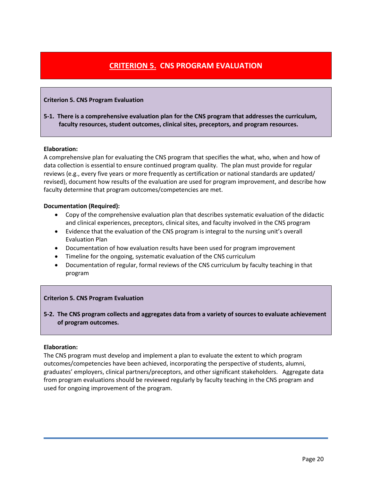# **CRITERION 5. CNS PROGRAM EVALUATION**

### **Criterion 5. CNS Program Evaluation**

**5-1. There is a comprehensive evaluation plan for the CNS program that addresses the curriculum, faculty resources, student outcomes, clinical sites, preceptors, and program resources.**

#### **Elaboration:**

A comprehensive plan for evaluating the CNS program that specifies the what, who, when and how of data collection is essential to ensure continued program quality. The plan must provide for regular reviews (e.g., every five years or more frequently as certification or national standards are updated/ revised), document how results of the evaluation are used for program improvement, and describe how faculty determine that program outcomes/competencies are met.

#### **Documentation (Required):**

- Copy of the comprehensive evaluation plan that describes systematic evaluation of the didactic and clinical experiences, preceptors, clinical sites, and faculty involved in the CNS program
- Evidence that the evaluation of the CNS program is integral to the nursing unit's overall Evaluation Plan
- Documentation of how evaluation results have been used for program improvement
- Timeline for the ongoing, systematic evaluation of the CNS curriculum
- Documentation of regular, formal reviews of the CNS curriculum by faculty teaching in that program

#### **Criterion 5. CNS Program Evaluation**

# **5-2. The CNS program collects and aggregates data from a variety of sources to evaluate achievement of program outcomes.**

#### **Elaboration:**

The CNS program must develop and implement a plan to evaluate the extent to which program outcomes/competencies have been achieved, incorporating the perspective of students, alumni, graduates' employers, clinical partners/preceptors, and other significant stakeholders. Aggregate data from program evaluations should be reviewed regularly by faculty teaching in the CNS program and used for ongoing improvement of the program.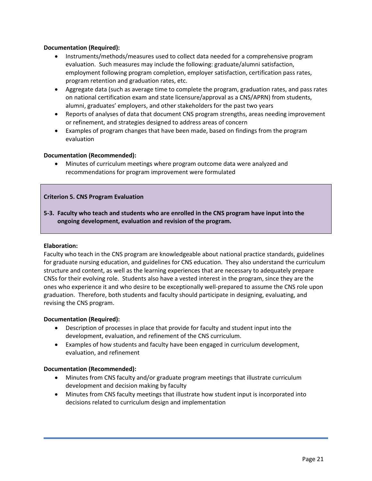# **Documentation (Required):**

- Instruments/methods/measures used to collect data needed for a comprehensive program evaluation. Such measures may include the following: graduate/alumni satisfaction, employment following program completion, employer satisfaction, certification pass rates, program retention and graduation rates, etc.
- Aggregate data (such as average time to complete the program, graduation rates, and pass rates on national certification exam and state licensure/approval as a CNS/APRN) from students, alumni, graduates' employers, and other stakeholders for the past two years
- Reports of analyses of data that document CNS program strengths, areas needing improvement or refinement, and strategies designed to address areas of concern
- Examples of program changes that have been made, based on findings from the program evaluation

# **Documentation (Recommended):**

 Minutes of curriculum meetings where program outcome data were analyzed and recommendations for program improvement were formulated

# **Criterion 5. CNS Program Evaluation**

**5-3. Faculty who teach and students who are enrolled in the CNS program have input into the ongoing development, evaluation and revision of the program.**

# **Elaboration:**

Faculty who teach in the CNS program are knowledgeable about national practice standards, guidelines for graduate nursing education, and guidelines for CNS education. They also understand the curriculum structure and content, as well as the learning experiences that are necessary to adequately prepare CNSs for their evolving role. Students also have a vested interest in the program, since they are the ones who experience it and who desire to be exceptionally well-prepared to assume the CNS role upon graduation. Therefore, both students and faculty should participate in designing, evaluating, and revising the CNS program.

# **Documentation (Required):**

- Description of processes in place that provide for faculty and student input into the development, evaluation, and refinement of the CNS curriculum.
- Examples of how students and faculty have been engaged in curriculum development, evaluation, and refinement

# **Documentation (Recommended):**

- Minutes from CNS faculty and/or graduate program meetings that illustrate curriculum development and decision making by faculty
- Minutes from CNS faculty meetings that illustrate how student input is incorporated into decisions related to curriculum design and implementation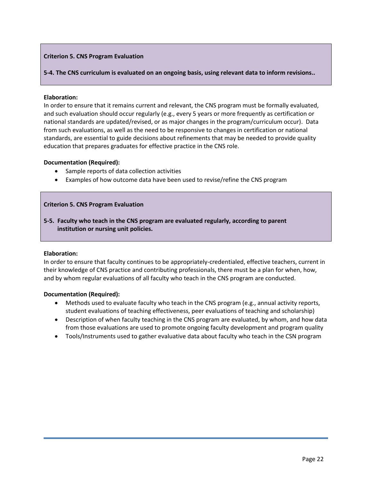# **Criterion 5. CNS Program Evaluation**

**5-4. The CNS curriculum is evaluated on an ongoing basis, using relevant data to inform revisions..**

#### **Elaboration:**

In order to ensure that it remains current and relevant, the CNS program must be formally evaluated, and such evaluation should occur regularly (e.g., every 5 years or more frequently as certification or national standards are updated/revised, or as major changes in the program/curriculum occur). Data from such evaluations, as well as the need to be responsive to changes in certification or national standards, are essential to guide decisions about refinements that may be needed to provide quality education that prepares graduates for effective practice in the CNS role.

#### **Documentation (Required):**

- Sample reports of data collection activities
- Examples of how outcome data have been used to revise/refine the CNS program

#### **Criterion 5. CNS Program Evaluation**

**5-5. Faculty who teach in the CNS program are evaluated regularly, according to parent institution or nursing unit policies.**

#### **Elaboration:**

In order to ensure that faculty continues to be appropriately-credentialed, effective teachers, current in their knowledge of CNS practice and contributing professionals, there must be a plan for when, how, and by whom regular evaluations of all faculty who teach in the CNS program are conducted.

- Methods used to evaluate faculty who teach in the CNS program (e.g., annual activity reports, student evaluations of teaching effectiveness, peer evaluations of teaching and scholarship)
- Description of when faculty teaching in the CNS program are evaluated, by whom, and how data from those evaluations are used to promote ongoing faculty development and program quality
- Tools/Instruments used to gather evaluative data about faculty who teach in the CSN program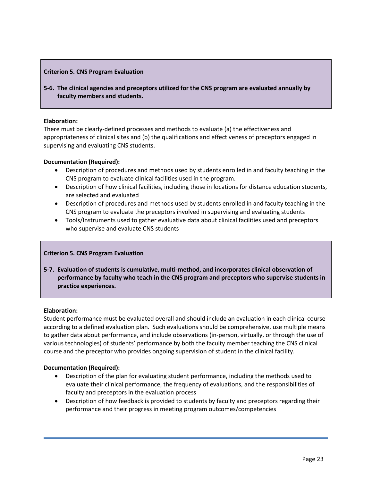# **Criterion 5. CNS Program Evaluation**

**5-6. The clinical agencies and preceptors utilized for the CNS program are evaluated annually by faculty members and students.**

#### **Elaboration:**

There must be clearly-defined processes and methods to evaluate (a) the effectiveness and appropriateness of clinical sites and (b) the qualifications and effectiveness of preceptors engaged in supervising and evaluating CNS students.

#### **Documentation (Required):**

- Description of procedures and methods used by students enrolled in and faculty teaching in the CNS program to evaluate clinical facilities used in the program.
- Description of how clinical facilities, including those in locations for distance education students, are selected and evaluated
- Description of procedures and methods used by students enrolled in and faculty teaching in the CNS program to evaluate the preceptors involved in supervising and evaluating students
- Tools/Instruments used to gather evaluative data about clinical facilities used and preceptors who supervise and evaluate CNS students

# **Criterion 5. CNS Program Evaluation**

**5-7. Evaluation of students is cumulative, multi-method, and incorporates clinical observation of performance by faculty who teach in the CNS program and preceptors who supervise students in practice experiences.**

#### **Elaboration:**

Student performance must be evaluated overall and should include an evaluation in each clinical course according to a defined evaluation plan. Such evaluations should be comprehensive, use multiple means to gather data about performance, and include observations (in-person, virtually, or through the use of various technologies) of students' performance by both the faculty member teaching the CNS clinical course and the preceptor who provides ongoing supervision of student in the clinical facility.

- Description of the plan for evaluating student performance, including the methods used to evaluate their clinical performance, the frequency of evaluations, and the responsibilities of faculty and preceptors in the evaluation process
- Description of how feedback is provided to students by faculty and preceptors regarding their performance and their progress in meeting program outcomes/competencies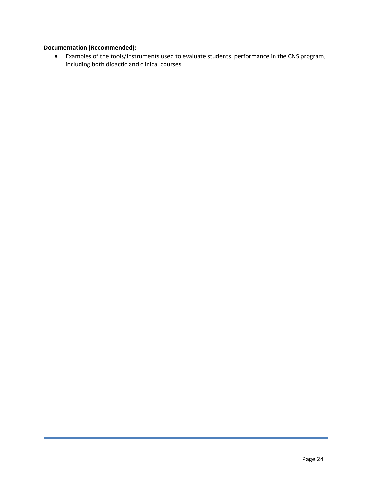# **Documentation (Recommended):**

 Examples of the tools/Instruments used to evaluate students' performance in the CNS program, including both didactic and clinical courses